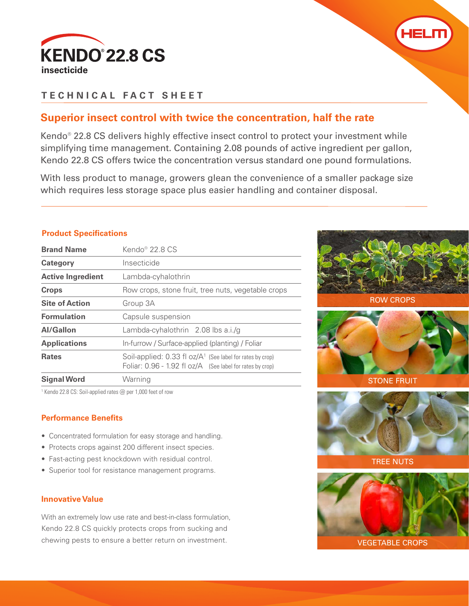



# **TECHNICAL FACT SHEET**

# **Superior insect control with twice the concentration, half the rate**

Kendo® 22.8 CS delivers highly effective insect control to protect your investment while simplifying time management. Containing 2.08 pounds of active ingredient per gallon, Kendo 22.8 CS offers twice the concentration versus standard one pound formulations.

With less product to manage, growers glean the convenience of a smaller package size which requires less storage space plus easier handling and container disposal.

## **Product Specifications**

| <b>Brand Name</b>        | Kendo <sup>®</sup> 22.8 C.S.                                                                                                    |  |  |  |
|--------------------------|---------------------------------------------------------------------------------------------------------------------------------|--|--|--|
| <b>Category</b>          | Insecticide                                                                                                                     |  |  |  |
| <b>Active Ingredient</b> | Lambda-cyhalothrin                                                                                                              |  |  |  |
| <b>Crops</b>             | Row crops, stone fruit, tree nuts, vegetable crops                                                                              |  |  |  |
| <b>Site of Action</b>    | Group 3A                                                                                                                        |  |  |  |
| <b>Formulation</b>       | Capsule suspension                                                                                                              |  |  |  |
| <b>Al/Gallon</b>         | Lambda-cyhalothrin 2.08 lbs a.i./g                                                                                              |  |  |  |
| <b>Applications</b>      | In-furrow / Surface-applied (planting) / Foliar                                                                                 |  |  |  |
| <b>Rates</b>             | Soil-applied: $0.33$ fl oz/ $A1$ (See label for rates by crop)<br>Foliar: $0.96 - 1.92$ fl $oz/A$ (See label for rates by crop) |  |  |  |
| <b>Signal Word</b>       | Warning                                                                                                                         |  |  |  |

<sup>1</sup> Kendo 22.8 CS: Soil-applied rates @ per 1,000 feet of row

## **Performance Benefits**

- Concentrated formulation for easy storage and handling.
- Protects crops against 200 different insect species.
- Fast-acting pest knockdown with residual control.
- Superior tool for resistance management programs.

## **Innovative Value**

With an extremely low use rate and best-in-class formulation, Kendo 22.8 CS quickly protects crops from sucking and chewing pests to ensure a better return on investment.



ROW CROPS











VEGETABLE CROPS